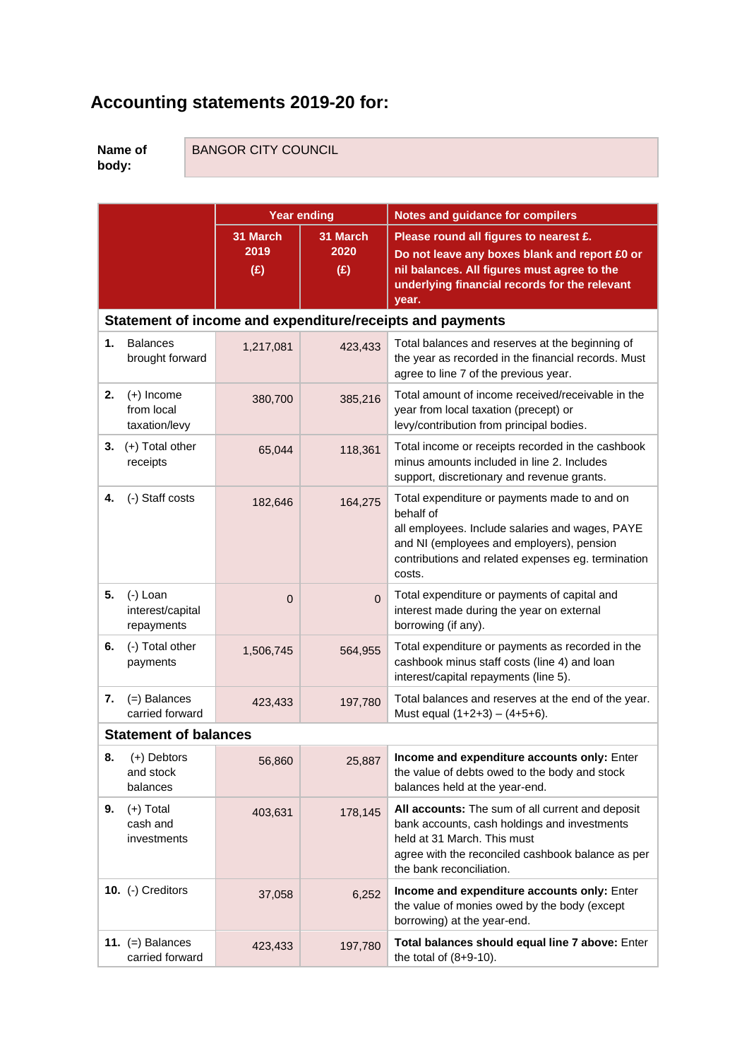## **Accounting statements 2019-20 for:**

**Name of body:**

BANGOR CITY COUNCIL

|  | BANGOR CH Y COUNCIL |
|--|---------------------|
|  |                     |

|                                                           |                                              |                         | <b>Year ending</b>      | <b>Notes and guidance for compilers</b>                                                                                                                                                                                   |  |  |  |  |  |  |
|-----------------------------------------------------------|----------------------------------------------|-------------------------|-------------------------|---------------------------------------------------------------------------------------------------------------------------------------------------------------------------------------------------------------------------|--|--|--|--|--|--|
|                                                           |                                              | 31 March<br>2019<br>(E) | 31 March<br>2020<br>(E) | Please round all figures to nearest £.<br>Do not leave any boxes blank and report £0 or<br>nil balances. All figures must agree to the<br>underlying financial records for the relevant<br>year.                          |  |  |  |  |  |  |
| Statement of income and expenditure/receipts and payments |                                              |                         |                         |                                                                                                                                                                                                                           |  |  |  |  |  |  |
| 1.                                                        | <b>Balances</b><br>brought forward           | 1,217,081               | 423,433                 | Total balances and reserves at the beginning of<br>the year as recorded in the financial records. Must<br>agree to line 7 of the previous year.                                                                           |  |  |  |  |  |  |
| 2.                                                        | $(+)$ Income<br>from local<br>taxation/levy  | 380,700                 | 385,216                 | Total amount of income received/receivable in the<br>year from local taxation (precept) or<br>levy/contribution from principal bodies.                                                                                    |  |  |  |  |  |  |
| 3.                                                        | (+) Total other<br>receipts                  | 65,044                  | 118,361                 | Total income or receipts recorded in the cashbook<br>minus amounts included in line 2. Includes<br>support, discretionary and revenue grants.                                                                             |  |  |  |  |  |  |
| 4.                                                        | (-) Staff costs                              | 182,646                 | 164,275                 | Total expenditure or payments made to and on<br>behalf of<br>all employees. Include salaries and wages, PAYE<br>and NI (employees and employers), pension<br>contributions and related expenses eg. termination<br>costs. |  |  |  |  |  |  |
| 5.                                                        | $(-)$ Loan<br>interest/capital<br>repayments | $\overline{0}$          | $\Omega$                | Total expenditure or payments of capital and<br>interest made during the year on external<br>borrowing (if any).                                                                                                          |  |  |  |  |  |  |
| 6.                                                        | (-) Total other<br>payments                  | 1,506,745               | 564,955                 | Total expenditure or payments as recorded in the<br>cashbook minus staff costs (line 4) and loan<br>interest/capital repayments (line 5).                                                                                 |  |  |  |  |  |  |
| 7.                                                        | $(=)$ Balances<br>carried forward            | 423,433                 | 197,780                 | Total balances and reserves at the end of the year.<br>Must equal $(1+2+3) - (4+5+6)$ .                                                                                                                                   |  |  |  |  |  |  |
|                                                           | <b>Statement of balances</b>                 |                         |                         |                                                                                                                                                                                                                           |  |  |  |  |  |  |
|                                                           | 8. $(+)$ Debtors<br>and stock<br>balances    | 56,860                  | 25,887                  | Income and expenditure accounts only: Enter<br>the value of debts owed to the body and stock<br>balances held at the year-end.                                                                                            |  |  |  |  |  |  |
| 9.                                                        | $(+)$ Total<br>cash and<br>investments       | 403,631                 | 178,145                 | All accounts: The sum of all current and deposit<br>bank accounts, cash holdings and investments<br>held at 31 March. This must<br>agree with the reconciled cashbook balance as per<br>the bank reconciliation.          |  |  |  |  |  |  |
|                                                           | 10. (-) Creditors                            | 37,058                  | 6,252                   | Income and expenditure accounts only: Enter<br>the value of monies owed by the body (except<br>borrowing) at the year-end.                                                                                                |  |  |  |  |  |  |
|                                                           | 11. $(=)$ Balances<br>carried forward        | 423,433                 | 197,780                 | Total balances should equal line 7 above: Enter<br>the total of $(8+9-10)$ .                                                                                                                                              |  |  |  |  |  |  |